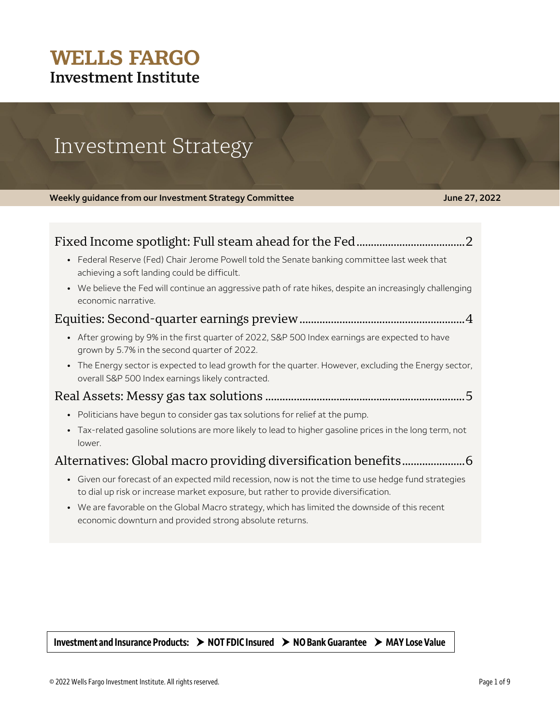# **WELLS FARGO Investment Institute**

# Investment Strategy

### **Weekly guidance from our Investment Strategy Committee <b>June 27, 2022** June 27, 2022

| • Federal Reserve (Fed) Chair Jerome Powell told the Senate banking committee last week that<br>achieving a soft landing could be difficult.                                                           |
|--------------------------------------------------------------------------------------------------------------------------------------------------------------------------------------------------------|
| We believe the Fed will continue an aggressive path of rate hikes, despite an increasingly challenging<br>economic narrative.                                                                          |
|                                                                                                                                                                                                        |
| • After growing by 9% in the first quarter of 2022, S&P 500 Index earnings are expected to have<br>grown by 5.7% in the second quarter of 2022.                                                        |
| The Energy sector is expected to lead growth for the quarter. However, excluding the Energy sector,<br>overall S&P 500 Index earnings likely contracted.                                               |
|                                                                                                                                                                                                        |
| • Politicians have begun to consider gas tax solutions for relief at the pump.                                                                                                                         |
| • Tax-related gasoline solutions are more likely to lead to higher gasoline prices in the long term, not<br>lower.                                                                                     |
|                                                                                                                                                                                                        |
| Given our forecast of an expected mild recession, now is not the time to use hedge fund strategies<br>$\bullet$<br>to dial up risk or increase market exposure, but rather to provide diversification. |
| We are favorable on the Global Macro strategy, which has limited the downside of this recent<br>economic downturn and provided strong absolute returns.                                                |
|                                                                                                                                                                                                        |

# Investment and Insurance Products:  $\rightarrow$  NOT FDIC Insured  $\rightarrow$  NO Bank Guarantee  $\rightarrow$  MAY Lose Value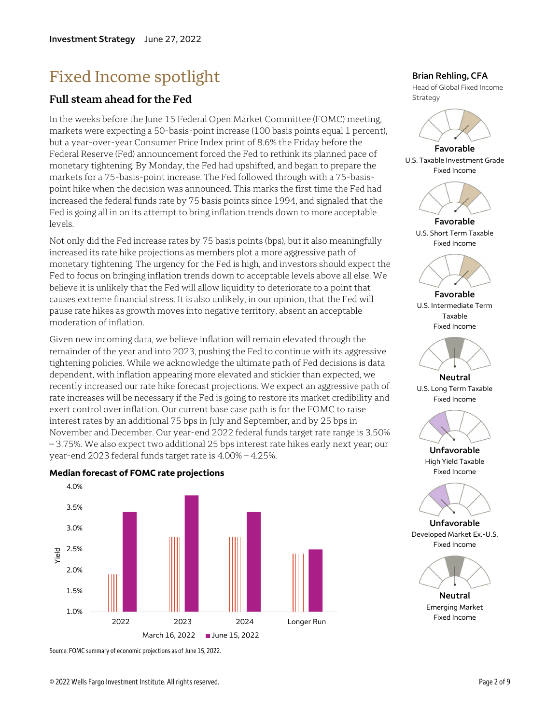# Fixed Income spotlight

## **Full steam ahead for the Fed**

In the weeks before the June 15 Federal Open Market Committee (FOMC) meeting, markets were expecting a 50-basis-point increase (100 basis points equal 1 percent), but a year-over-year Consumer Price Index print of 8.6% the Friday before the Federal Reserve (Fed) announcement forced the Fed to rethink its planned pace of monetary tightening. By Monday, the Fed had upshifted, and began to prepare the markets for a 75-basis-point increase. The Fed followed through with a 75-basispoint hike when the decision was announced. This marks the first time the Fed had increased the federal funds rate by 75 basis points since 1994, and signaled that the Fed is going all in on its attempt to bring inflation trends down to more acceptable levels.

Not only did the Fed increase rates by 75 basis points (bps), but it also meaningfully increased its rate hike projections as members plot a more aggressive path of monetary tightening. The urgency for the Fed is high, and investors should expect the Fed to focus on bringing inflation trends down to acceptable levels above all else. We believe it is unlikely that the Fed will allow liquidity to deteriorate to a point that causes extreme financial stress. It is also unlikely, in our opinion, that the Fed will pause rate hikes as growth moves into negative territory, absent an acceptable moderation of inflation.

Given new incoming data, we believe inflation will remain elevated through the remainder of the year and into 2023, pushing the Fed to continue with its aggressive tightening policies. While we acknowledge the ultimate path of Fed decisions is data dependent, with inflation appearing more elevated and stickier than expected, we recently increased our rate hike forecast projections. We expect an aggressive path of rate increases will be necessary if the Fed is going to restore its market credibility and exert control over inflation. Our current base case path is for the FOMC to raise interest rates by an additional 75 bps in July and September, and by 25 bps in November and December. Our year-end 2022 federal funds target rate range is 3.50% – 3.75%. We also expect two additional 25 bps interest rate hikes early next year; our year-end 2023 federal funds target rate is 4.00% – 4.25%.



### **Median forecast of FOMC rate projections**

**Brian Rehling, CFA**

Head of Global Fixed Income Strategy



**Favorable** U.S. Taxable Investment Grade Fixed Income



**Favorable** U.S. Short Term Taxable Fixed Income



**Favorable** U.S. Intermediate Term Taxable Fixed Income



**Neutral** U.S. Long Term Taxable Fixed Income



**Unfavorable** High Yield Taxable Fixed Income



**Unfavorable** Developed Market Ex.-U.S. Fixed Income



Fixed Income

Source: FOMC summary of economic projectionsas of June 15, 2022.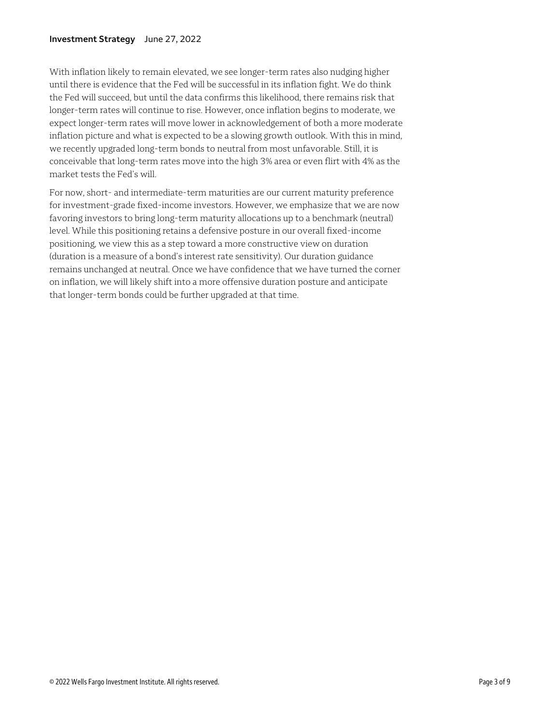### **Investment Strategy** June 27, 2022

With inflation likely to remain elevated, we see longer-term rates also nudging higher until there is evidence that the Fed will be successful in its inflation fight. We do think the Fed will succeed, but until the data confirms this likelihood, there remains risk that longer-term rates will continue to rise. However, once inflation begins to moderate, we expect longer-term rates will move lower in acknowledgement of both a more moderate inflation picture and what is expected to be a slowing growth outlook. With this in mind, we recently upgraded long-term bonds to neutral from most unfavorable. Still, it is conceivable that long-term rates move into the high 3% area or even flirt with 4% as the market tests the Fed's will.

For now, short- and intermediate-term maturities are our current maturity preference for investment-grade fixed-income investors. However, we emphasize that we are now favoring investors to bring long-term maturity allocations up to a benchmark (neutral) level. While this positioning retains a defensive posture in our overall fixed-income positioning, we view this as a step toward a more constructive view on duration (duration is a measure of a bond's interest rate sensitivity). Our duration guidance remains unchanged at neutral. Once we have confidence that we have turned the corner on inflation, we will likely shift into a more offensive duration posture and anticipate that longer-term bonds could be further upgraded at that time.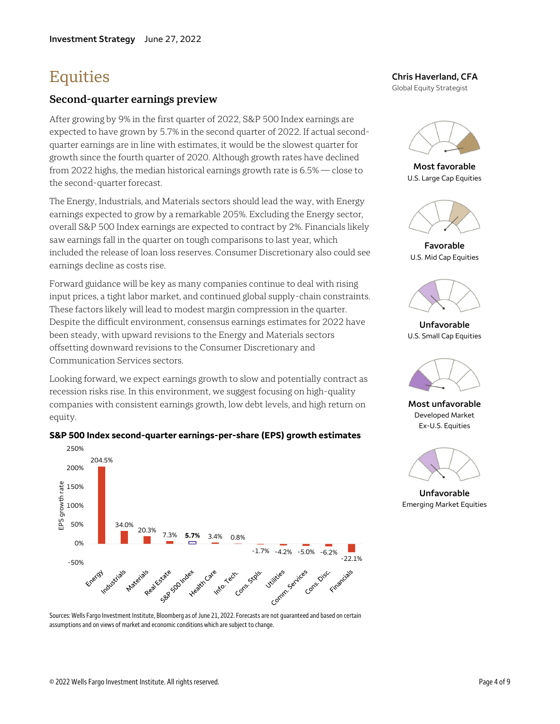# **Equities**

### **Second-quarter earnings preview**

After growing by 9% in the first quarter of 2022, S&P 500 Index earnings are expected to have grown by 5.7% in the second quarter of 2022. If actual secondquarter earnings are in line with estimates, it would be the slowest quarter for growth since the fourth quarter of 2020. Although growth rates have declined from 2022 highs, the median historical earnings growth rate is 6.5% — close to the second-quarter forecast.

The Energy, Industrials, and Materials sectors should lead the way, with Energy earnings expected to grow by a remarkable 205%. Excluding the Energy sector, overall S&P 500 Index earnings are expected to contract by 2%. Financials likely saw earnings fall in the quarter on tough comparisons to last year, which included the release of loan loss reserves. Consumer Discretionary also could see earnings decline as costs rise.

Forward guidance will be key as many companies continue to deal with rising input prices, a tight labor market, and continued global supply-chain constraints. These factors likely will lead to modest margin compression in the quarter. Despite the difficult environment, consensus earnings estimates for 2022 have been steady, with upward revisions to the Energy and Materials sectors offsetting downward revisions to the Consumer Discretionary and Communication Services sectors.

Looking forward, we expect earnings growth to slow and potentially contract as recession risks rise. In this environment, we suggest focusing on high-quality companies with consistent earnings growth, low debt levels, and high return on equity.



### **S&P 500 Index second-quarter earnings-per-share (EPS) growth estimates**

**Chris Haverland, CFA**

Global Equity Strategist



**Most favorable** U.S. Large Cap Equities



**Favorable** U.S. Mid Cap Equities



**Unfavorable** U.S. Small Cap Equities



**Most unfavorable** Developed Market Ex-U.S. Equities



**Unfavorable** Emerging Market Equities

Sources: Wells Fargo Investment Institute, Bloomberg as of June 21, 2022. Forecasts are not guaranteed and based on certain assumptions and on views of market and economic conditions which are subject to change.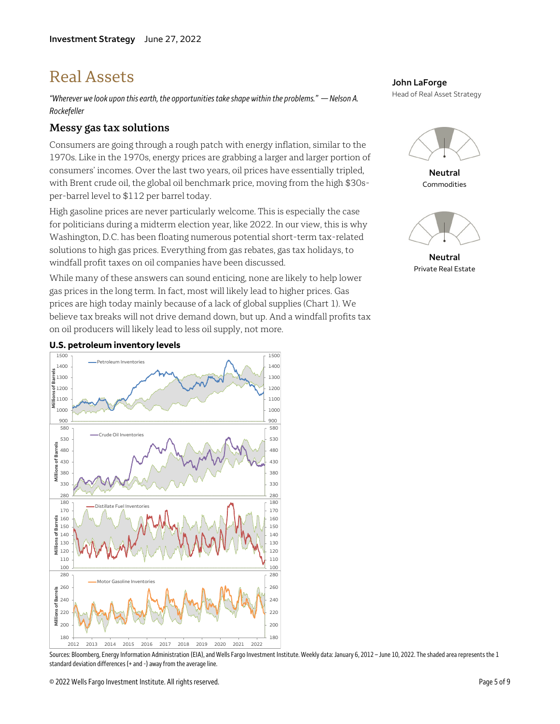# Real Assets

*"Wherever we look upon this earth, the opportunities take shape within the problems." — Nelson A. Rockefeller*

# **Messy gas tax solutions**

Consumers are going through a rough patch with energy inflation, similar to the 1970s. Like in the 1970s, energy prices are grabbing a larger and larger portion of consumers' incomes. Over the last two years, oil prices have essentially tripled, with Brent crude oil, the global oil benchmark price, moving from the high \$30sper-barrel level to \$112 per barrel today.

High gasoline prices are never particularly welcome. This is especially the case for politicians during a midterm election year, like 2022. In our view, this is why Washington, D.C. has been floating numerous potential short-term tax-related solutions to high gas prices. Everything from gas rebates, gas tax holidays, to windfall profit taxes on oil companies have been discussed.

While many of these answers can sound enticing, none are likely to help lower gas prices in the long term. In fact, most will likely lead to higher prices. Gas prices are high today mainly because of a lack of global supplies (Chart 1). We believe tax breaks will not drive demand down, but up. And a windfall profits tax on oil producers will likely lead to less oil supply, not more.



**John LaForge** Head of Real Asset Strategy



**Neutral** Commodities



**Neutral** Private Real Estate

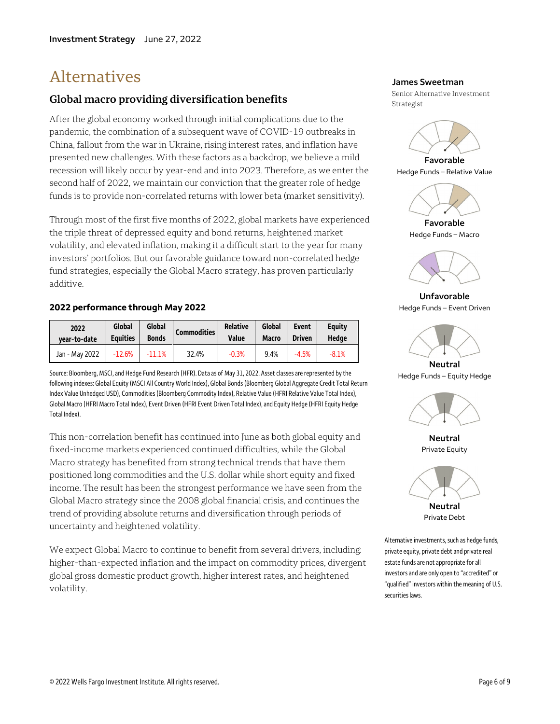# Alternatives

# **Global macro providing diversification benefits**

After the global economy worked through initial complications due to the pandemic, the combination of a subsequent wave of COVID-19 outbreaks in China, fallout from the war in Ukraine, rising interest rates, and inflation have presented new challenges. With these factors as a backdrop, we believe a mild recession will likely occur by year-end and into 2023. Therefore, as we enter the second half of 2022, we maintain our conviction that the greater role of hedge funds is to provide non-correlated returns with lower beta (market sensitivity).

Through most of the first five months of 2022, global markets have experienced the triple threat of depressed equity and bond returns, heightened market volatility, and elevated inflation, making it a difficult start to the year for many investors' portfolios. But our favorable guidance toward non-correlated hedge fund strategies, especially the Global Macro strategy, has proven particularly additive.

### **2022 performance through May 2022**

| 2022           | Global          | Global       | <b>Commodities</b> | <b>Relative</b> | Global       | Event         | <b>Equity</b> |
|----------------|-----------------|--------------|--------------------|-----------------|--------------|---------------|---------------|
| vear-to-date   | <b>Equities</b> | <b>Bonds</b> |                    | Value           | <b>Macro</b> | <b>Driven</b> | Hedae         |
| Jan - May 2022 | $-12.6%$        | $-11.1%$     | 32.4%              | $-0.3%$         | 9.4%         | $-4.5%$       | $-8.1%$       |

Source: Bloomberg, MSCI, and Hedge Fund Research (HFR). Data as of May 31, 2022. Asset classes are represented by the following indexes: Global Equity (MSCI All Country World Index), Global Bonds (Bloomberg Global Aggregate Credit Total Return Index Value Unhedged USD), Commodities (Bloomberg Commodity Index), Relative Value (HFRI Relative Value Total Index), Global Macro (HFRI Macro Total Index), Event Driven (HFRI Event Driven Total Index), and Equity Hedge (HFRI Equity Hedge Total Index).

This non-correlation benefit has continued into June as both global equity and fixed-income markets experienced continued difficulties, while the Global Macro strategy has benefited from strong technical trends that have them positioned long commodities and the U.S. dollar while short equity and fixed income. The result has been the strongest performance we have seen from the Global Macro strategy since the 2008 global financial crisis, and continues the trend of providing absolute returns and diversification through periods of uncertainty and heightened volatility.

We expect Global Macro to continue to benefit from several drivers, including: higher-than-expected inflation and the impact on commodity prices, divergent global gross domestic product growth, higher interest rates, and heightened volatility.

### **James Sweetman**

Senior Alternative Investment Strategist



**Favorable** Hedge Funds – Relative Value



**Favorable** Hedge Funds – Macro



**Unfavorable** Hedge Funds – Event Driven



Hedge Funds – Equity Hedge



**Neutral** Private Equity



Alternative investments, such as hedge funds, private equity, private debt and private real estate funds are not appropriate for all investors and are only open to "accredited" or "qualified" investors within the meaning of U.S.

securities laws.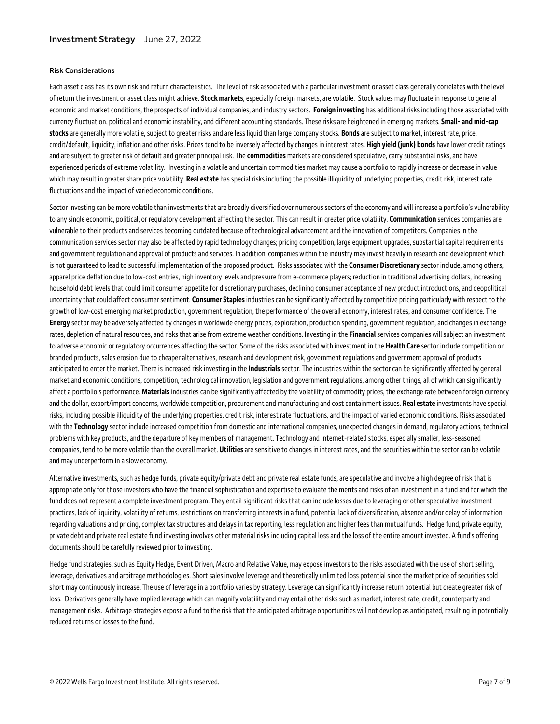#### **Risk Considerations**

Each asset class has its own risk and return characteristics. The level of risk associated with a particular investment or asset class generally correlates with the level of return the investment or asset class might achieve. **Stock markets**, especially foreign markets, are volatile. Stock values may fluctuate in response to general economic and market conditions, the prospects of individual companies, and industry sectors. **Foreign investing** has additional risks including those associated with currency fluctuation, political and economic instability, and different accounting standards. These risks are heightened in emerging markets. **Small- and mid-cap stocks**are generally more volatile, subject to greater risks and are less liquid than large company stocks. **Bonds**are subject to market, interest rate, price, credit/default, liquidity, inflation and other risks. Prices tend to be inversely affected by changes in interest rates. **High yield (junk) bonds** have lower credit ratings and are subject to greater risk of default and greater principal risk. The **commodities** markets are considered speculative, carry substantial risks, and have experienced periods of extreme volatility. Investing in a volatile and uncertain commodities market may cause a portfolio to rapidly increase or decrease in value which may result in greater share price volatility. **Real estate** has special risks including the possible illiquidity of underlying properties, credit risk, interest rate fluctuations and the impact of varied economic conditions.

Sector investing can be more volatile than investments that are broadly diversified over numerous sectors of the economy and will increase a portfolio's vulnerability to any single economic, political, or regulatory development affecting the sector. This can result in greater price volatility. **Communication** services companies are vulnerable to their products and services becoming outdated because of technological advancement and the innovation of competitors. Companies in the communication services sector may also be affected by rapid technology changes; pricing competition, large equipment upgrades, substantial capital requirements and government regulation and approval of products and services. In addition, companies within the industry may invest heavily in research and development which is not guaranteed to lead to successful implementation of the proposed product. Risks associated with the **Consumer Discretionary** sector include, among others, apparel price deflation due to low-cost entries, high inventory levels and pressure from e-commerce players; reduction in traditional advertising dollars, increasing household debt levels that could limit consumer appetite for discretionary purchases, declining consumer acceptance of new product introductions, and geopolitical uncertainty that could affect consumer sentiment. **Consumer Staples**industries can be significantly affected by competitive pricing particularly with respect to the growth of low-cost emerging market production, government regulation, the performance of the overall economy, interest rates, and consumer confidence. The **Energy** sector may be adversely affected by changes in worldwide energy prices, exploration, production spending, government regulation, and changes in exchange rates, depletion of natural resources, and risks that arise from extreme weather conditions. Investing in the **Financial**services companies will subject an investment to adverse economic or regulatory occurrences affecting the sector. Some of the risks associated with investment in the **Health Care** sector include competition on branded products, sales erosion due to cheaper alternatives, research and development risk, government regulations and government approval of products anticipated to enter the market. There is increased risk investing in the **Industrials**sector. The industries within the sector can be significantly affected by general market and economic conditions, competition, technological innovation, legislation and government regulations, among other things, all of which can significantly affect a portfolio's performance. **Materials**industries can be significantly affected by the volatility of commodity prices, the exchange rate between foreign currency and the dollar, export/import concerns, worldwide competition, procurement and manufacturing and cost containment issues. **Real estate** investments have special risks, including possible illiquidity of the underlying properties, credit risk, interest rate fluctuations, and the impact of varied economic conditions. Risks associated with the **Technology** sector include increased competition from domestic and international companies, unexpected changes in demand, regulatory actions, technical problems with key products, and the departure of key members of management. Technology and Internet-related stocks, especially smaller, less-seasoned companies, tend to be more volatile than the overall market. **Utilities**are sensitive to changes in interest rates, and the securities within the sector can be volatile and may underperform in a slow economy.

Alternative investments, such as hedge funds, private equity/private debt and private real estate funds, are speculative and involve a high degree of risk that is appropriate only for those investors who have the financial sophistication and expertise to evaluate the merits and risks of an investment in a fund and for which the fund does not represent a complete investment program. They entail significant risks that can include losses due to leveraging or other speculative investment practices, lack of liquidity, volatility of returns, restrictions on transferring interests in a fund, potential lack of diversification, absence and/or delay of information regarding valuations and pricing, complex tax structures and delays in tax reporting, less regulation and higher fees than mutual funds. Hedge fund, private equity, private debt and private real estate fund investing involves other material risks including capital loss and the loss of the entire amount invested. A fund's offering documents should be carefully reviewed prior to investing.

Hedge fund strategies, such as Equity Hedge, Event Driven, Macro and Relative Value, may expose investors to the risks associated with the use of short selling, leverage, derivatives and arbitrage methodologies. Short sales involve leverage and theoretically unlimited loss potential since the market price of securities sold short may continuously increase. The use of leverage in a portfolio varies by strategy. Leverage can significantly increase return potential but create greater risk of loss. Derivatives generally have implied leverage which can magnify volatility and may entail other risks such as market, interest rate, credit, counterparty and management risks. Arbitrage strategies expose a fund to the risk that the anticipated arbitrage opportunities will not develop as anticipated, resulting in potentially reduced returns or losses to the fund.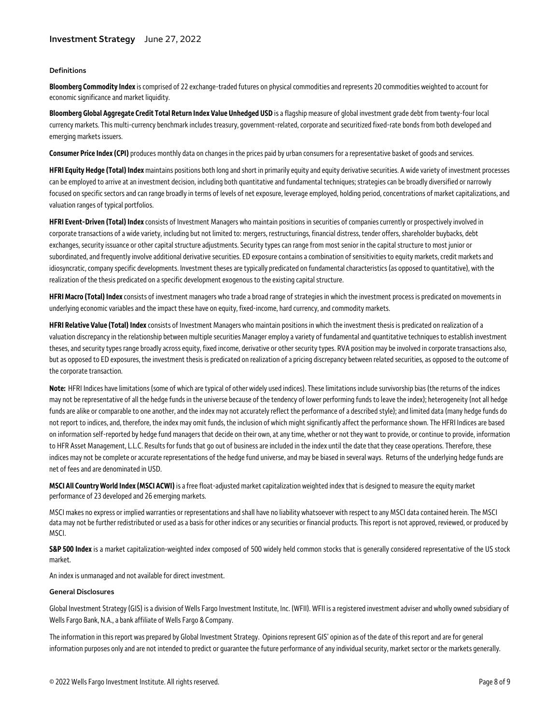#### **Definitions**

**Bloomberg Commodity Index**is comprised of 22 exchange-traded futures on physical commodities and represents 20 commodities weighted to account for economic significance and market liquidity.

**Bloomberg Global Aggregate Credit Total Return Index Value Unhedged USD** is a flagship measure of global investment grade debt from twenty-four local currency markets. This multi-currency benchmark includes treasury, government-related, corporate and securitized fixed-rate bonds from both developed and emerging markets issuers.

**Consumer Price Index (CPI)** produces monthly data on changes in the prices paid by urban consumers for a representative basket of goods and services.

**HFRI Equity Hedge (Total) Index** maintains positions both long and short in primarily equity and equity derivative securities. A wide variety of investment processes can be employed to arrive at an investment decision, including both quantitative and fundamental techniques; strategies can be broadly diversified or narrowly focused on specific sectors and can range broadly in terms of levels of net exposure, leverage employed, holding period, concentrations of market capitalizations, and valuation ranges of typical portfolios.

**HFRI Event-Driven (Total) Index**consists of Investment Managers who maintain positions in securities of companies currently or prospectively involved in corporate transactions of a wide variety, including but not limited to: mergers, restructurings, financial distress, tender offers, shareholder buybacks, debt exchanges, security issuance or other capital structure adjustments. Security types can range from most senior in the capital structure to most junior or subordinated, and frequently involve additional derivative securities. ED exposure contains a combination of sensitivities to equity markets, credit markets and idiosyncratic, company specific developments. Investment theses are typically predicated on fundamental characteristics (as opposed to quantitative), with the realization of the thesis predicated on a specific development exogenous to the existing capital structure.

**HFRI Macro (Total) Index**consists of investment managers who trade a broad range of strategies in which the investment process is predicated on movements in underlying economic variables and the impact these have on equity, fixed-income, hard currency, and commodity markets.

**HFRI Relative Value (Total) Index**consists of Investment Managers who maintain positions in which the investment thesis is predicated on realization of a valuation discrepancy in the relationship between multiple securities Manager employ a variety of fundamental and quantitative techniques to establish investment theses, and security types range broadly across equity, fixed income, derivative or other security types. RVA position may be involved in corporate transactions also, but as opposed to ED exposures, the investment thesis is predicated on realization of a pricing discrepancy between related securities, as opposed to the outcome of the corporate transaction.

**Note:** HFRI Indices have limitations (some of which are typical of other widely used indices). These limitations include survivorship bias (the returns of the indices may not be representative of all the hedge funds in the universe because of the tendency of lower performing funds to leave the index); heterogeneity (not all hedge funds are alike or comparable to one another, and the index may not accurately reflect the performance of a described style); and limited data (many hedge funds do not report to indices, and, therefore, the index may omit funds, the inclusion of which might significantly affect the performance shown. The HFRI Indices are based on information self‐reported by hedge fund managers that decide on their own, at any time, whether or not they want to provide, or continue to provide, information to HFR Asset Management, L.L.C. Results for funds that go out of business are included in the index until the date that they cease operations. Therefore, these indices may not be complete or accurate representations of the hedge fund universe, and may be biased in several ways. Returns of the underlying hedge funds are net of fees and are denominated in USD.

**MSCI All Country World Index (MSCI ACWI)** is a free float-adjusted market capitalization weighted index that is designed to measure the equity market performance of 23 developed and 26 emerging markets.

MSCI makes no express or implied warranties or representations and shall have no liability whatsoever with respect to any MSCI data contained herein. The MSCI data may not be further redistributed or used as a basis for other indices or any securities or financial products. This report is not approved, reviewed, or produced by MSCI.

**S&P 500 Index** is a market capitalization-weighted index composed of 500 widely held common stocks that is generally considered representative of the US stock market.

An index is unmanaged and not available for direct investment.

#### **General Disclosures**

Global Investment Strategy (GIS) is a division of Wells Fargo Investment Institute, Inc. (WFII). WFII is a registered investment adviser and wholly owned subsidiary of Wells Fargo Bank, N.A., a bank affiliate of Wells Fargo & Company.

The information in this report was prepared by Global Investment Strategy. Opinions represent GIS' opinion as of the date of this report and are for general information purposes only and are not intended to predict or guarantee the future performance of any individual security, market sector or the markets generally.